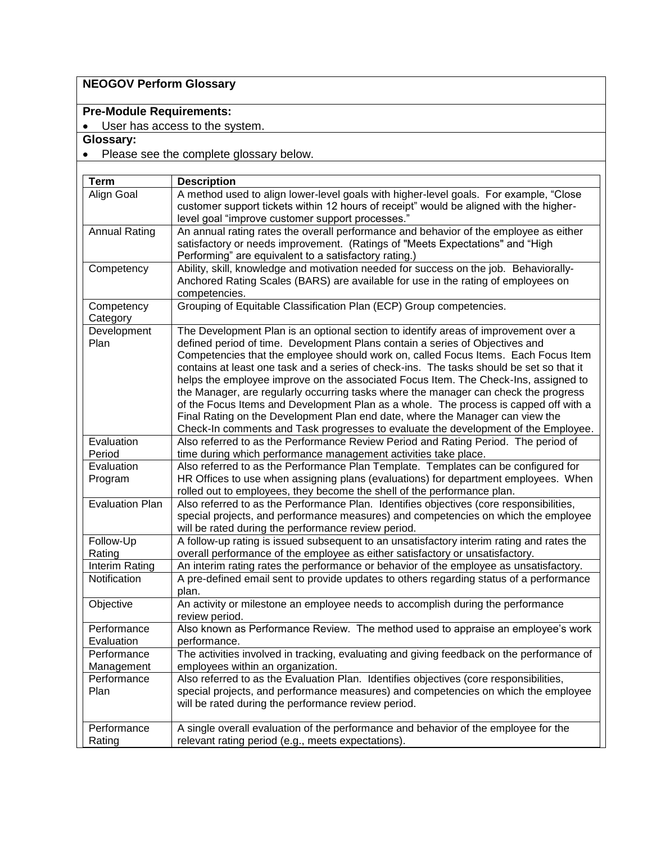# **NEOGOV Perform Glossary**

# **Pre-Module Requirements:**

• User has access to the system.

### **Glossary:**

# • Please see the complete glossary below.

| <b>Term</b>               | <b>Description</b>                                                                                                                                                                                                                                                                                                                                                                                                                                                                                                                                                                                                                                                                                                                                                                                 |
|---------------------------|----------------------------------------------------------------------------------------------------------------------------------------------------------------------------------------------------------------------------------------------------------------------------------------------------------------------------------------------------------------------------------------------------------------------------------------------------------------------------------------------------------------------------------------------------------------------------------------------------------------------------------------------------------------------------------------------------------------------------------------------------------------------------------------------------|
| Align Goal                | A method used to align lower-level goals with higher-level goals. For example, "Close<br>customer support tickets within 12 hours of receipt" would be aligned with the higher-<br>level goal "improve customer support processes."                                                                                                                                                                                                                                                                                                                                                                                                                                                                                                                                                                |
| <b>Annual Rating</b>      | An annual rating rates the overall performance and behavior of the employee as either<br>satisfactory or needs improvement. (Ratings of "Meets Expectations" and "High<br>Performing" are equivalent to a satisfactory rating.)                                                                                                                                                                                                                                                                                                                                                                                                                                                                                                                                                                    |
| Competency                | Ability, skill, knowledge and motivation needed for success on the job. Behaviorally-<br>Anchored Rating Scales (BARS) are available for use in the rating of employees on<br>competencies.                                                                                                                                                                                                                                                                                                                                                                                                                                                                                                                                                                                                        |
| Competency<br>Category    | Grouping of Equitable Classification Plan (ECP) Group competencies.                                                                                                                                                                                                                                                                                                                                                                                                                                                                                                                                                                                                                                                                                                                                |
| Development<br>Plan       | The Development Plan is an optional section to identify areas of improvement over a<br>defined period of time. Development Plans contain a series of Objectives and<br>Competencies that the employee should work on, called Focus Items. Each Focus Item<br>contains at least one task and a series of check-ins. The tasks should be set so that it<br>helps the employee improve on the associated Focus Item. The Check-Ins, assigned to<br>the Manager, are regularly occurring tasks where the manager can check the progress<br>of the Focus Items and Development Plan as a whole. The process is capped off with a<br>Final Rating on the Development Plan end date, where the Manager can view the<br>Check-In comments and Task progresses to evaluate the development of the Employee. |
| Evaluation<br>Period      | Also referred to as the Performance Review Period and Rating Period. The period of<br>time during which performance management activities take place.                                                                                                                                                                                                                                                                                                                                                                                                                                                                                                                                                                                                                                              |
| Evaluation<br>Program     | Also referred to as the Performance Plan Template. Templates can be configured for<br>HR Offices to use when assigning plans (evaluations) for department employees. When<br>rolled out to employees, they become the shell of the performance plan.                                                                                                                                                                                                                                                                                                                                                                                                                                                                                                                                               |
| <b>Evaluation Plan</b>    | Also referred to as the Performance Plan. Identifies objectives (core responsibilities,<br>special projects, and performance measures) and competencies on which the employee<br>will be rated during the performance review period.                                                                                                                                                                                                                                                                                                                                                                                                                                                                                                                                                               |
| Follow-Up<br>Rating       | A follow-up rating is issued subsequent to an unsatisfactory interim rating and rates the<br>overall performance of the employee as either satisfactory or unsatisfactory.                                                                                                                                                                                                                                                                                                                                                                                                                                                                                                                                                                                                                         |
| Interim Rating            | An interim rating rates the performance or behavior of the employee as unsatisfactory.                                                                                                                                                                                                                                                                                                                                                                                                                                                                                                                                                                                                                                                                                                             |
| Notification              | A pre-defined email sent to provide updates to others regarding status of a performance<br>plan.                                                                                                                                                                                                                                                                                                                                                                                                                                                                                                                                                                                                                                                                                                   |
| Objective                 | An activity or milestone an employee needs to accomplish during the performance<br>review period.                                                                                                                                                                                                                                                                                                                                                                                                                                                                                                                                                                                                                                                                                                  |
| Performance<br>Evaluation | Also known as Performance Review. The method used to appraise an employee's work<br>performance.                                                                                                                                                                                                                                                                                                                                                                                                                                                                                                                                                                                                                                                                                                   |
| Performance<br>Management | The activities involved in tracking, evaluating and giving feedback on the performance of<br>employees within an organization.                                                                                                                                                                                                                                                                                                                                                                                                                                                                                                                                                                                                                                                                     |
| Performance<br>Plan       | Also referred to as the Evaluation Plan. Identifies objectives (core responsibilities,<br>special projects, and performance measures) and competencies on which the employee<br>will be rated during the performance review period.                                                                                                                                                                                                                                                                                                                                                                                                                                                                                                                                                                |
| Performance<br>Rating     | A single overall evaluation of the performance and behavior of the employee for the<br>relevant rating period (e.g., meets expectations).                                                                                                                                                                                                                                                                                                                                                                                                                                                                                                                                                                                                                                                          |